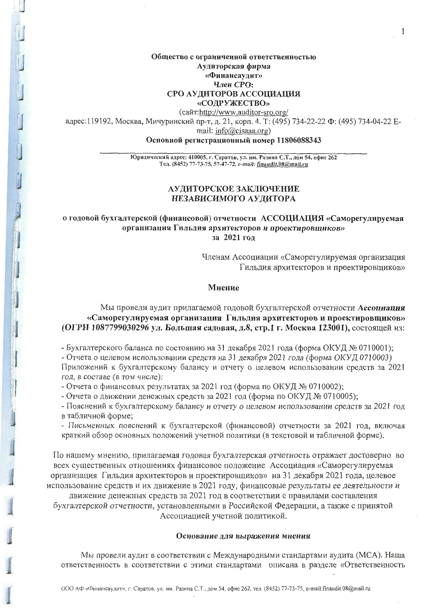Общество с ограниченной ответственностью Аудиторская фирма «Финансаудит» Член СРО: СРО АУДИТОРОВ АССОЦИАЦИЯ «СОДРУЖЕСТВО»

(сайт:http://www.auditor-sro.org/

адрес: 119192, Москва, Мичуринский пр-т, д. 21, корп. 4. Т: (495) 734-22-22 Ф: (495) 734-04-22 Еmail: info@cisaaa.org)

Основной регистрационный номер 11806088343

Юридический адрес: 410005, г. Саратов, ул. им. Разина С.Т., дом 54, офис 262 Тел. (8452) 77-73-75, 57-47-72, e-mail: finaudit.08@mail.ru

## АУДИТОРСКОЕ ЗАКЛЮЧЕНИЕ НЕЗАВИСИМОГО АУДИТОРА

о годовой бухгалтерской (финансовой) отчетности АССОЦИАЦИЯ «Саморегулируемая организация Гильдия архитекторов и проектировщиков» за 2021 год

> Членам Ассоциации «Саморегулируемая организация Гильдия архитекторов и проектировщиков»

### Мнение

## Мы провели аудит прилагаемой годовой бухгалтерской отчетности Ассоциация «Саморегулируемая организация Гильдия архитекторов и проектировщиков» (ОГРН 1087799030296 ул. Большая садовая, д.8, стр.1 г. Москва 123001), состоящей из:

- Бухгалтерского баланса по состоянию на 31 декабря 2021 года (форма ОКУД № 0710001);

- Отчета о целевом использовании средств на 31 декабря 2021 года (форма ОКУД 0710003) Приложений к бухгалтерскому балансу и отчету о целевом использовании средств за 2021 год, в составе (в том числе):

- Отчета о финансовых результатах за 2021 год (форма по ОКУД № 0710002);

- Отчета о движении денежных средств за 2021 год (форма по ОКУД № 0710005);

- Пояснений к бухгалтерскому балансу и отчету о целевом использовании средств за 2021 год в табличной форме;

- Письменных пояснений к бухгалтерской (финансовой) отчетности за 2021 год, включая краткий обзор основных положений учетной политики (в текстовой и табличной форме).

По нашему мнению, прилагаемая годовая бухгалтерская отчетность отражает достоверно во всех существенных отношениях финансовое положение Ассоциация «Саморегулируемая организация Гильдия архитекторов и проектировщиков» на 31 декабря 2021 года, целевое использование средств и их движение в 2021 году, финансовые результаты ее деятельности и

движение денежных средств за 2021 год в соответствии с правилами составления бухгалтерской отчетности, установленными в Российской Федерации, а также с принятой Ассоциацией учетной политикой.

#### Основание для выражения мнения

Мы провели аудит в соответствии с Международными стандартами аудита (МСА). Наша ответственность в соответствии с этими стандартами описана в разделе «Ответственность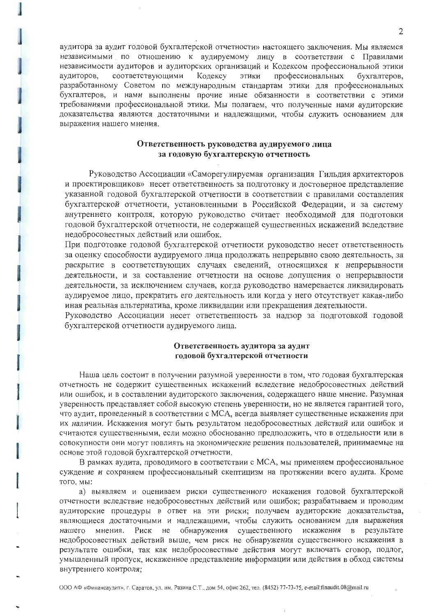аудитора за аудит годовой бухгалтерской отчетности» настоящего заключения. Мы являемся независимыми по отношению к аудируемому лицу в соответствии с Правилами независимости аудиторов и аудиторских организаций и Кодексом профессиональной этики аудиторов, соответствующими Кодексу ЭТИКИ профессиональных бухгалтеров. разработанному Советом по международным стандартам этики для профессиональных бухгалтеров, и нами выполнены прочие иные обязанности в соответствии с этими требованиями профессиональной этики. Мы полагаем, что полученные нами аудиторские доказательства являются достаточными и надлежащими, чтобы служить основанием для выражения нашего мнения.

## Ответственность руководства аудируемого лица за годовую бухгалтерскую отчетность

Руководство Ассоциации «Саморегулируемая организация Гильдия архитекторов и проектировщиков» несет ответственность за подготовку и достоверное представление указанной годовой бухгалтерской отчетности в соответствии с правилами составления бухгалтерской отчетности, установленными в Российской Федерации, и за систему внутреннего контроля, которую руководство считает необходимой для подготовки годовой бухгалтерской отчетности, не содержащей существенных искажений вследствие недобросовестных действий или ошибок.

При подготовке годовой бухгалтерской отчетности руководство несет ответственность за оценку способности аудируемого лица продолжать непрерывно свою деятельность, за раскрытие в соответствующих случаях сведений, относящихся к непрерывности деятельности, и за составление отчетности на основе допущения о непрерывности деятельности, за исключением случаев, когда руководство намеревается ликвидировать аудируемое лицо, прекратить его деятельность или когда у него отсутствует какая-либо иная реальная альтернатива, кроме ликвидации или прекращения деятельности.

Руководство Ассоциации несет ответственность за надзор за подготовкой годовой бухгалтерской отчетности аудируемого лица.

## Ответственность аудитора за аудит годовой бухгалтерской отчетности

Наша цель состоит в получении разумной уверенности в том, что годовая бухгалтерская отчетность не содержит существенных искажений вследствие недобросовестных действий или ошибок, и в составлении аудиторского заключения, содержащего наше мнение. Разумная уверенность представляет собой высокую степень уверенности, но не является гарантией того, что аудит, проведенный в соответствии с МСА, всегда выявляет существенные искажения при их наличии. Искажения могут быть результатом недобросовестных действий или ошибок и считаются существенными, если можно обоснованно предположить, что в отдельности или в совокупности они могут повлиять на экономические решения пользователей, принимаемые на основе этой годовой бухгалтерской отчетности.

В рамках аудита, проводимого в соответствии с МСА, мы применяем профессиональное суждение и сохраняем профессиональный скептицизм на протяжении всего аудита. Кроме того, мы:

а) выявляем и оцениваем риски существенного искажения годовой бухгалтерской отчетности вследствие недобросовестных действий или ошибок; разрабатываем и проводим аудиторские процедуры в ответ на эти риски; получаем аудиторские доказательства, являющиеся достаточными и надлежащими, чтобы служить основанием для выражения обнаружения существенного результате нашего мнения. Риск  $He$ искажения  $\mathbf{B}$ недобросовестных действий выше, чем риск не обнаружения существенного искажения в результате ошибки, так как недобросовестные действия могут включать сговор, подлог, умышленный пропуск, искаженное представление информации или действия в обход системы внутреннего контроля;